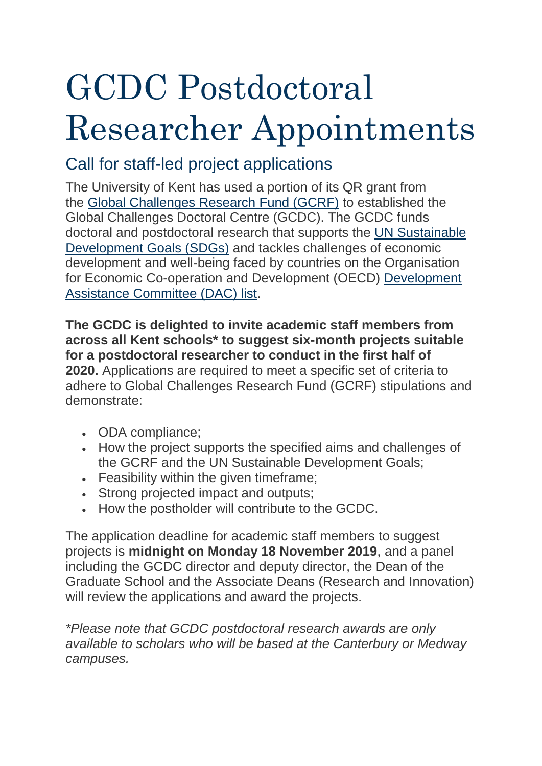# GCDC Postdoctoral Researcher Appointments

## Call for staff-led project applications

The University of Kent has used a portion of its QR grant from the [Global Challenges Research Fund \(GCRF\)](https://www.ukri.org/research/global-challenges-research-fund/) to established the Global Challenges Doctoral Centre (GCDC). The GCDC funds doctoral and postdoctoral research that supports the [UN Sustainable](https://sustainabledevelopment.un.org/)  [Development Goals \(SDGs\)](https://sustainabledevelopment.un.org/) and tackles challenges of economic development and well-being faced by countries on the Organisation for Economic Co-operation and Development (OECD) [Development](http://www.oecd.org/dac/financing-sustainable-development/development-finance-standards/daclist.htm)  [Assistance Committee \(DAC\) list.](http://www.oecd.org/dac/financing-sustainable-development/development-finance-standards/daclist.htm)

**The GCDC is delighted to invite academic staff members from across all Kent schools\* to suggest six-month projects suitable for a postdoctoral researcher to conduct in the first half of 2020.** Applications are required to meet a specific set of criteria to adhere to Global Challenges Research Fund (GCRF) stipulations and demonstrate:

- ODA compliance:
- How the project supports the specified aims and challenges of the GCRF and the UN Sustainable Development Goals;
- Feasibility within the given timeframe:
- Strong projected impact and outputs;
- How the postholder will contribute to the GCDC.

The application deadline for academic staff members to suggest projects is **midnight on Monday 18 November 2019**, and a panel including the GCDC director and deputy director, the Dean of the Graduate School and the Associate Deans (Research and Innovation) will review the applications and award the projects.

*\*Please note that GCDC postdoctoral research awards are only available to scholars who will be based at the Canterbury or Medway campuses.*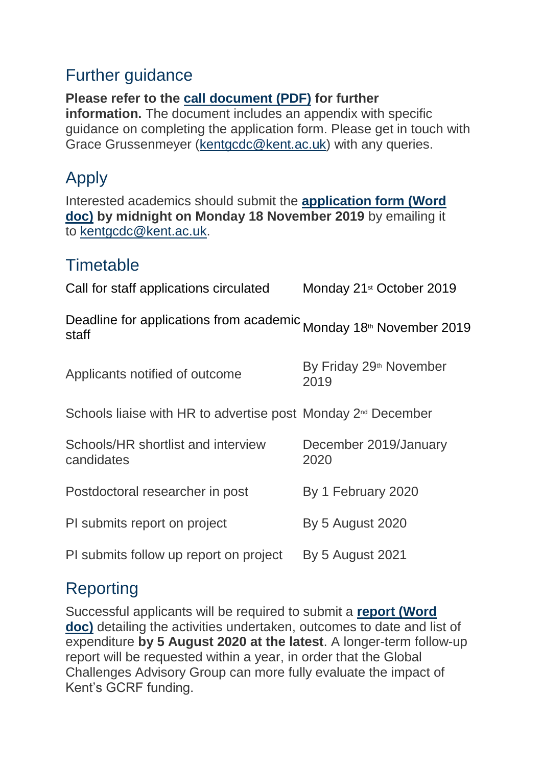#### Further guidance

**Please refer to the [call document \(PDF\)](https://blogs.kent.ac.uk/gcdoctoraltrainingcentre/files/2019/11/GCDC-Postdoctoral-Researcher-call-for-staff-projects-1.pdf) for further information.** The document includes an appendix with specific guidance on completing the application form. Please get in touch with Grace Grussenmeyer [\(kentgcdc@kent.ac.uk\)](mailto:kentgcdc@kent.ac.uk) with any queries.

## Apply

Interested academics should submit the **[application form \(Word](https://blogs.kent.ac.uk/gcdoctoraltrainingcentre/files/2019/11/GCDC-Postoctoral-Researcher-application-form.docx)  [doc\)](https://blogs.kent.ac.uk/gcdoctoraltrainingcentre/files/2019/11/GCDC-Postoctoral-Researcher-application-form.docx) by midnight on Monday 18 November 2019** by emailing it to [kentgcdc@kent.ac.uk.](mailto:kentgcdc@kent.ac.uk)

#### **Timetable**

| Call for staff applications circulated                                                 | Monday 21 <sup>st</sup> October 2019        |
|----------------------------------------------------------------------------------------|---------------------------------------------|
| Deadline for applications from academic Monday 18 <sup>th</sup> November 2019<br>staff |                                             |
| Applicants notified of outcome                                                         | By Friday 29 <sup>th</sup> November<br>2019 |
| Schools liaise with HR to advertise post Monday 2 <sup>nd</sup> December               |                                             |
| Schools/HR shortlist and interview<br>candidates                                       | December 2019/January<br>2020               |
| Postdoctoral researcher in post                                                        | By 1 February 2020                          |
| PI submits report on project                                                           | <b>By 5 August 2020</b>                     |
| PI submits follow up report on project                                                 | <b>By 5 August 2021</b>                     |

### Reporting

Successful applicants will be required to submit a **[report \(Word](https://blogs.kent.ac.uk/gcdoctoraltrainingcentre/files/2019/11/FINAL-GCDC-Postoctoral-Researcher-report-form.docx)  [doc\)](https://blogs.kent.ac.uk/gcdoctoraltrainingcentre/files/2019/11/FINAL-GCDC-Postoctoral-Researcher-report-form.docx)** detailing the activities undertaken, outcomes to date and list of expenditure **by 5 August 2020 at the latest**. A longer-term follow-up report will be requested within a year, in order that the Global Challenges Advisory Group can more fully evaluate the impact of Kent's GCRF funding.